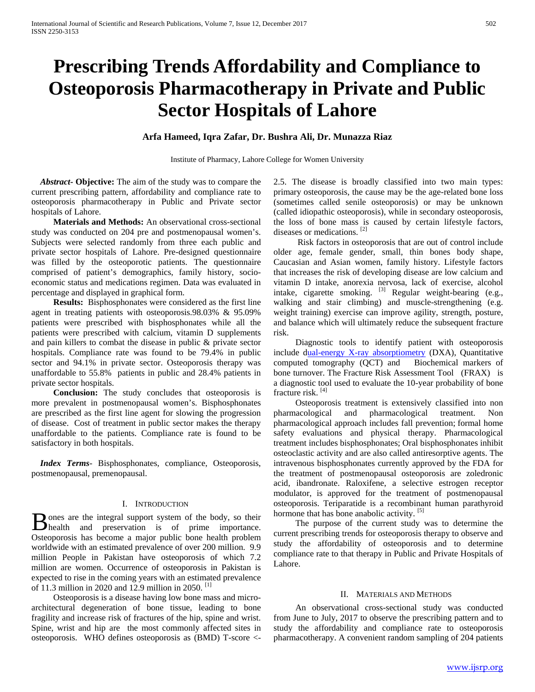# **Prescribing Trends Affordability and Compliance to Osteoporosis Pharmacotherapy in Private and Public Sector Hospitals of Lahore**

## **Arfa Hameed, Iqra Zafar, Dr. Bushra Ali, Dr. Munazza Riaz**

Institute of Pharmacy, Lahore College for Women University

 *Abstract***- Objective:** The aim of the study was to compare the current prescribing pattern, affordability and compliance rate to osteoporosis pharmacotherapy in Public and Private sector hospitals of Lahore.

 **Materials and Methods:** An observational cross-sectional study was conducted on 204 pre and postmenopausal women's. Subjects were selected randomly from three each public and private sector hospitals of Lahore. Pre-designed questionnaire was filled by the osteoporotic patients. The questionnaire comprised of patient's demographics, family history, socioeconomic status and medications regimen. Data was evaluated in percentage and displayed in graphical form.

 **Results:** Bisphosphonates were considered as the first line agent in treating patients with osteoporosis.98.03% & 95.09% patients were prescribed with bisphosphonates while all the patients were prescribed with calcium, vitamin D supplements and pain killers to combat the disease in public & private sector hospitals. Compliance rate was found to be 79.4% in public sector and 94.1% in private sector. Osteoporosis therapy was unaffordable to 55.8% patients in public and 28.4% patients in private sector hospitals.

 **Conclusion:** The study concludes that osteoporosis is more prevalent in postmenopausal women's. Bisphosphonates are prescribed as the first line agent for slowing the progression of disease. Cost of treatment in public sector makes the therapy unaffordable to the patients. Compliance rate is found to be satisfactory in both hospitals.

 *Index Terms*- Bisphosphonates, compliance, Osteoporosis, postmenopausal, premenopausal.

## I. INTRODUCTION

**I** ones are the integral support system of the body, so their **H** ones are the integral support system of the body, so their<br>
health and preservation is of prime importance. Osteoporosis has become a major public bone health problem worldwide with an estimated prevalence of over 200 million. 9.9 million People in Pakistan have osteoporosis of which 7.2 million are women. Occurrence of osteoporosis in Pakistan is expected to rise in the coming years with an estimated prevalence of 11.3 million in 2020 and 12.9 million in 2050.  $[1]$ 

 Osteoporosis is a disease having low bone mass and microarchitectural degeneration of bone tissue, leading to bone fragility and increase risk of fractures of the hip, spine and wrist. Spine, wrist and hip are the most commonly affected sites in osteoporosis. WHO defines osteoporosis as (BMD) T-score <-

2.5. The disease is broadly classified into two main types: primary osteoporosis, the cause may be the age-related bone loss (sometimes called senile osteoporosis) or may be unknown (called idiopathic osteoporosis), while in secondary osteoporosis, the loss of bone mass is caused by certain lifestyle factors, diseases or medications. [2]

 Risk factors in osteoporosis that are out of control include older age, female gender, small, thin bones body shape, Caucasian and Asian women, family history. Lifestyle factors that increases the risk of developing disease are low calcium and vitamin D intake, anorexia nervosa, lack of exercise, alcohol intake, cigarette smoking.  $[3]$  Regular weight-bearing (e.g., walking and stair climbing) and muscle-strengthening (e.g. weight training) exercise can improve agility, strength, posture, and balance which will ultimately reduce the subsequent fracture risk.

 Diagnostic tools to identify patient with osteoporosis include [dual-energy X-ray absorptiometry](https://www.google.com.pk/url?sa=t&rct=j&q=&esrc=s&source=web&cd=1&ved=0ahUKEwj8t9zR-9jTAhXHshQKHWLnAHgQFggfMAA&url=https%3A%2F%2Fen.wikipedia.org%2Fwiki%2FDual-energy_X-ray_absorptiometry&usg=AFQjCNEoTka5Ue_v1_EOwYcwtOqfXKMBFw) (DXA), Quantitative computed tomography (QCT) and Biochemical markers of bone turnover. The Fracture Risk Assessment Tool(FRAX)is a diagnostic tool used to evaluate the 10-year probability of bone fracture risk. [4]

 Osteoporosis treatment is extensively classified into non pharmacological and pharmacological treatment. Non pharmacological approach includes fall prevention; formal home safety evaluations and physical therapy. Pharmacological treatment includes bisphosphonates; Oral bisphosphonates inhibit osteoclastic activity and are also called antiresorptive agents. The intravenous bisphosphonates currently approved by the FDA for the treatment of postmenopausal osteoporosis are zoledronic acid, ibandronate. Raloxifene, a selective estrogen receptor modulator, is approved for the treatment of postmenopausal osteoporosis. Teriparatide is a recombinant human parathyroid hormone that has bone anabolic activity. [5]

 The purpose of the current study was to determine the current prescribing trends for osteoporosis therapy to observe and study the affordability of osteoporosis and to determine compliance rate to that therapy in Public and Private Hospitals of Lahore.

## II. MATERIALS AND METHODS

 An observational cross-sectional study was conducted from June to July, 2017 to observe the prescribing pattern and to study the affordability and compliance rate to osteoporosis pharmacotherapy. A convenient random sampling of 204 patients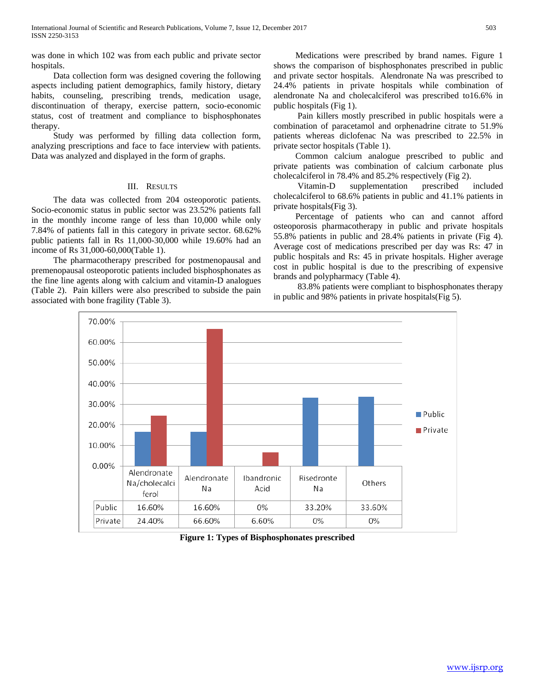was done in which 102 was from each public and private sector hospitals.

 Data collection form was designed covering the following aspects including patient demographics, family history, dietary habits, counseling, prescribing trends, medication usage, discontinuation of therapy, exercise pattern, socio-economic status, cost of treatment and compliance to bisphosphonates therapy.

 Study was performed by filling data collection form, analyzing prescriptions and face to face interview with patients. Data was analyzed and displayed in the form of graphs.

## III. RESULTS

 The data was collected from 204 osteoporotic patients. Socio-economic status in public sector was 23.52% patients fall in the monthly income range of less than 10,000 while only 7.84% of patients fall in this category in private sector. 68.62% public patients fall in Rs 11,000-30,000 while 19.60% had an income of Rs 31,000-60,000(Table 1).

 The pharmacotherapy prescribed for postmenopausal and premenopausal osteoporotic patients included bisphosphonates as the fine line agents along with calcium and vitamin-D analogues (Table 2). Pain killers were also prescribed to subside the pain associated with bone fragility (Table 3).

 Medications were prescribed by brand names. Figure 1 shows the comparison of bisphosphonates prescribed in public and private sector hospitals. Alendronate Na was prescribed to 24.4% patients in private hospitals while combination of alendronate Na and cholecalciferol was prescribed to16.6% in public hospitals (Fig 1).

 Pain killers mostly prescribed in public hospitals were a combination of paracetamol and orphenadrine citrate to 51.9% patients whereas diclofenac Na was prescribed to 22.5% in private sector hospitals (Table 1).

 Common calcium analogue prescribed to public and private patients was combination of calcium carbonate plus cholecalciferol in 78.4% and 85.2% respectively (Fig 2).

 Vitamin-D supplementation prescribed included cholecalciferol to 68.6% patients in public and 41.1% patients in private hospitals(Fig 3).

 Percentage of patients who can and cannot afford osteoporosis pharmacotherapy in public and private hospitals 55.8% patients in public and 28.4% patients in private (Fig 4). Average cost of medications prescribed per day was Rs: 47 in public hospitals and Rs: 45 in private hospitals. Higher average cost in public hospital is due to the prescribing of expensive brands and polypharmacy (Table 4).

 83.8% patients were compliant to bisphosphonates therapy in public and 98% patients in private hospitals(Fig 5).



**Figure 1: Types of Bisphosphonates prescribed**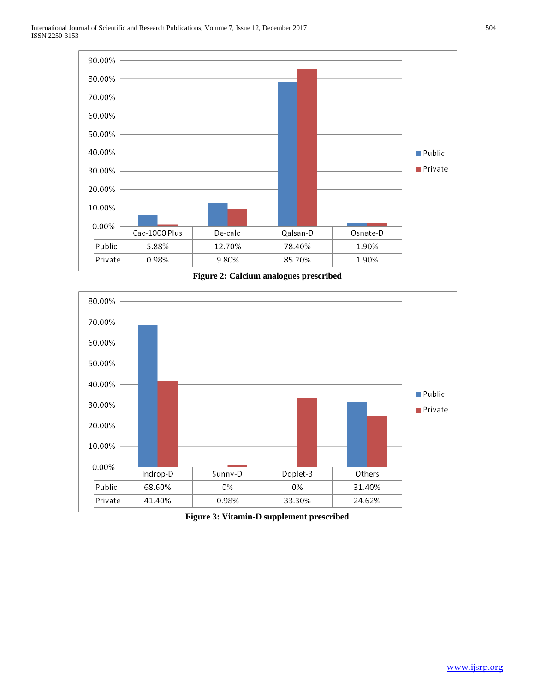

**Figure 2: Calcium analogues prescribed**



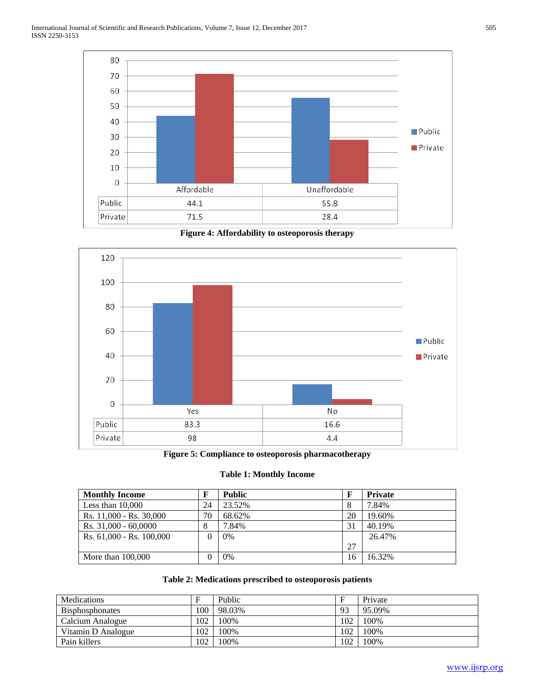

**Figure 4: Affordability to osteoporosis therapy**



**Figure 5: Compliance to osteoporosis pharmacotherapy**

## **Table 1: Monthly Income**

| <b>Monthly Income</b>    |    | <b>Public</b> | F  | <b>Private</b> |
|--------------------------|----|---------------|----|----------------|
| Less than $10,000$       | 24 | 23.52%        | 8  | 7.84%          |
| Rs. 11,000 - Rs. 30,000  | 70 | 68.62%        | 20 | 19.60%         |
| Rs. 31,000 - 60,0000     | 8  | 7.84%         | 31 | 40.19%         |
| Rs. 61,000 - Rs. 100,000 | 0  | 0%            |    | 26.47%         |
|                          |    |               | 27 |                |
| More than $100,000$      | 0  | 0%            | 16 | 16.32%         |

## **Table 2: Medications prescribed to osteoporosis patients**

| <b>Medications</b>     |                 | Public | F   | Private |
|------------------------|-----------------|--------|-----|---------|
| <b>Bisphosphonates</b> | 00 <sup>1</sup> | 98.03% | 93  | 95.09%  |
| Calcium Analogue       | 102             | 100%   | 102 | 100%    |
| Vitamin D Analogue     | 102             | 100%   | 102 | 100%    |
| Pain killers           | 102             | 100%   | 102 | 100%    |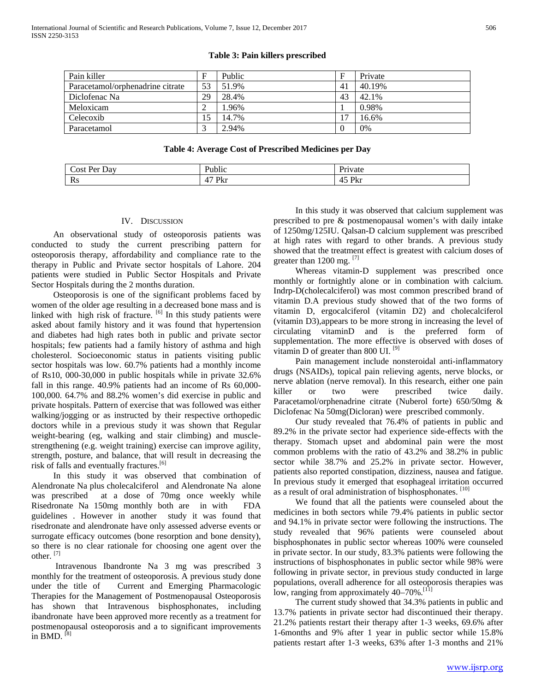# **Table 3: Pain killers prescribed**

| Pain killer                      | F  | Public |    | Private |
|----------------------------------|----|--------|----|---------|
| Paracetamol/orphenadrine citrate | 53 | 51.9%  | 41 | 40.19%  |
| Diclofenac Na                    | 29 | 28.4%  | 43 | 42.1%   |
| Meloxicam                        |    | 1.96%  |    | 0.98%   |
| Celecoxib                        | 15 | 14.7%  |    | 16.6%   |
| Paracetamol                      |    | 2.94%  |    | 0%      |

#### **Table 4: Average Cost of Prescribed Medicines per Day**

| Jяv<br>$. In-$<br>`∩c1 |                                           |          |
|------------------------|-------------------------------------------|----------|
| Rs                     | $\overline{\phantom{0}}$<br>ורד<br>.<br>M | DI.<br>M |

## IV. DISCUSSION

 An observational study of osteoporosis patients was conducted to study the current prescribing pattern for osteoporosis therapy, affordability and compliance rate to the therapy in Public and Private sector hospitals of Lahore. 204 patients were studied in Public Sector Hospitals and Private Sector Hospitals during the 2 months duration.

 Osteoporosis is one of the significant problems faced by women of the older age resulting in a decreased bone mass and is linked with high risk of fracture.  $[6]$  In this study patients were asked about family history and it was found that hypertension and diabetes had high rates both in public and private sector hospitals; few patients had a family history of asthma and high cholesterol. Socioeconomic status in patients visiting public sector hospitals was low. 60.7% patients had a monthly income of Rs10, 000-30,000 in public hospitals while in private 32.6% fall in this range. 40.9% patients had an income of Rs 60,000- 100,000. 64.7% and 88.2% women's did exercise in public and private hospitals. Pattern of exercise that was followed was either walking/jogging or as instructed by their respective orthopedic doctors while in a previous study it was shown that Regular weight-bearing (eg, walking and stair climbing) and musclestrengthening (e.g. weight training) exercise can improve agility, strength, posture, and balance, that will result in decreasing the risk of falls and eventually fractures.<sup>[6]</sup>

 In this study it was observed that combination of Alendronate Na plus cholecalciferol and Alendronate Na alone was prescribed at a dose of 70mg once weekly while Risedronate Na 150mg monthly both are in with FDA guidelines . However in another study it was found that risedronate and alendronate have only assessed adverse events or surrogate efficacy outcomes (bone resorption and bone density), so there is no clear rationale for choosing one agent over the other.  $[7]$ 

 Intravenous Ibandronte Na 3 mg was prescribed 3 monthly for the treatment of osteoporosis. A previous study done under the title of Current and Emerging Pharmacologic Therapies for the Management of Postmenopausal Osteoporosis has shown that Intravenous bisphosphonates, including ibandronate have been approved more recently as a treatment for postmenopausal osteoporosis and a to significant improvements in BMD.  $[8]$ 

 In this study it was observed that calcium supplement was prescribed to pre & postmenopausal women's with daily intake of 1250mg/125IU. Qalsan-D calcium supplement was prescribed at high rates with regard to other brands. A previous study showed that the treatment effect is greatest with calcium doses of greater than 1200 mg.  $^{[7]}$ 

 Whereas vitamin-D supplement was prescribed once monthly or fortnightly alone or in combination with calcium. Indrp-D(cholecalciferol) was most common prescribed brand of vitamin D.A previous study showed that of the two forms of vitamin D, ergocalciferol (vitamin D2) and cholecalciferol (vitamin D3),appears to be more strong in increasing the level of circulating vitaminD and is the preferred form of supplementation. The more effective is observed with doses of vitamin D of greater than 800 UI.  $[9]$ 

 Pain management include nonsteroidal anti-inflammatory drugs (NSAIDs), topical pain relieving agents, nerve blocks, or nerve ablation (nerve removal). In this research, either one pain killer or two were prescribed twice daily. Paracetamol/orphenadrine citrate (Nuberol forte) 650/50mg & Diclofenac Na 50mg(Dicloran) were prescribed commonly.

 Our study revealed that 76.4% of patients in public and 89.2% in the private sector had experience side-effects with the therapy. Stomach upset and abdominal pain were the most common problems with the ratio of 43.2% and 38.2% in public sector while 38.7% and 25.2% in private sector. However, patients also reported constipation, dizziness, nausea and fatigue. In previous study it emerged that esophageal irritation occurred as a result of oral administration of bisphosphonates. [10]

 We found that all the patients were counseled about the medicines in both sectors while 79.4% patients in public sector and 94.1% in private sector were following the instructions. The study revealed that 96% patients were counseled about bisphosphonates in public sector whereas 100% were counseled in private sector. In our study, 83.3% patients were following the instructions of bisphosphonates in public sector while 98% were following in private sector, in previous study conducted in large populations, overall adherence for all osteoporosis therapies was low, ranging from approximately 40–70%.<sup>[11]</sup>

 The current study showed that 34.3% patients in public and 13.7% patients in private sector had discontinued their therapy. 21.2% patients restart their therapy after 1-3 weeks, 69.6% after 1-6months and 9% after 1 year in public sector while 15.8% patients restart after 1-3 weeks, 63% after 1-3 months and 21%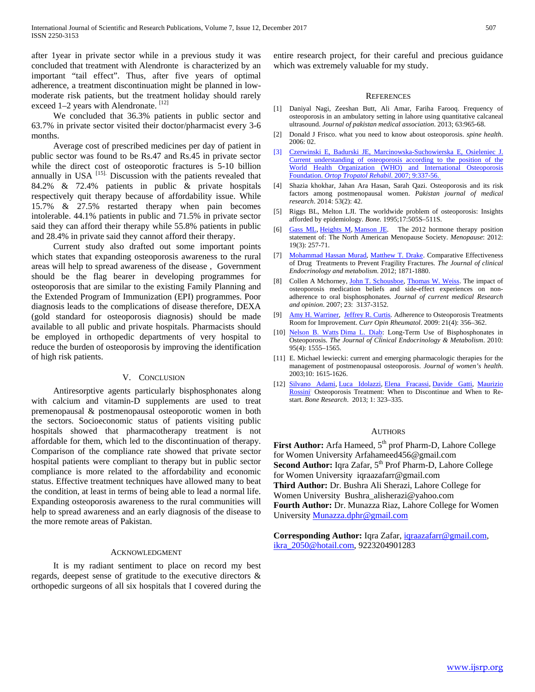after 1year in private sector while in a previous study it was concluded that treatment with Alendronte is characterized by an important "tail effect". Thus, after five years of optimal adherence, a treatment discontinuation might be planned in lowmoderate risk patients, but the treatment holiday should rarely exceed 1–2 years with Alendronate. [12]

 We concluded that 36.3% patients in public sector and 63.7% in private sector visited their doctor/pharmacist every 3-6 months.

 Average cost of prescribed medicines per day of patient in public sector was found to be Rs.47 and Rs.45 in private sector while the direct cost of osteoporotic fractures is 5-10 billion annually in USA <sup>[15].</sup> Discussion with the patients revealed that 84.2% & 72.4% patients in public & private hospitals respectively quit therapy because of affordability issue. While 15.7% & 27.5% restarted therapy when pain becomes intolerable. 44.1% patients in public and 71.5% in private sector said they can afford their therapy while 55.8% patients in public and 28.4% in private said they cannot afford their therapy.

 Current study also drafted out some important points which states that expanding osteoporosis awareness to the rural areas will help to spread awareness of the disease , Government should be the flag bearer in developing programmes for osteoporosis that are similar to the existing Family Planning and the Extended Program of Immunization (EPI) programmes. Poor diagnosis leads to the complications of disease therefore, DEXA (gold standard for osteoporosis diagnosis) should be made available to all public and private hospitals. Pharmacists should be employed in orthopedic departments of very hospital to reduce the burden of osteoporosis by improving the identification of high risk patients.

## V. CONCLUSION

 Antiresorptive agents particularly bisphosphonates along with calcium and vitamin-D supplements are used to treat premenopausal & postmenopausal osteoporotic women in both the sectors. Socioeconomic status of patients visiting public hospitals showed that pharmacotherapy treatment is not affordable for them, which led to the discontinuation of therapy. Comparison of the compliance rate showed that private sector hospital patients were compliant to therapy but in public sector compliance is more related to the affordability and economic status. Effective treatment techniques have allowed many to beat the condition, at least in terms of being able to lead a normal life. Expanding osteoporosis awareness to the rural communities will help to spread awareness and an early diagnosis of the disease to the more remote areas of Pakistan.

#### ACKNOWLEDGMENT

 It is my radiant sentiment to place on record my best regards, deepest sense of gratitude to the executive directors & orthopedic surgeons of all six hospitals that I covered during the entire research project, for their careful and precious guidance which was extremely valuable for my study.

#### **REFERENCES**

- [1] Daniyal Nagi, Zeeshan Butt, Ali Amar, Fariha Farooq. Frequency of osteoporosis in an ambulatory setting in lahore using quantitative calcaneal ultrasound. *Journal of pakistan medical association*. 2013; 63:965-68.
- [2] Donald J Frisco. what you need to know about osteoporosis. *spine health*. 2006: 02.
- [3] [Czerwinski E, Badurski JE, Marcinowska-Suchowierska E, Osieleniec J.](javascript:void(0);)  [Current understanding of osteoporosis according to the position of the](javascript:void(0);)  [World Health Organization \(WHO\) and International Osteoporosis](javascript:void(0);)  Foundation. *[Ortop Tropatol Rehabil](javascript:void(0);)*. 2007; 9:337-56.
- [4] Shazia khokhar, Jahan Ara Hasan, Sarah Qazi. Osteoporosis and its risk factors among postmenopausal women. *Pakistan journal of medical research*. 2014: 53(2): 42.
- [5] Riggs BL, Melton LJI. The worldwide problem of osteoporosis: Insights afforded by epidemiology*. Bone.* 1995;17:505S–511S.
- [6] [Gass ML,](https://www.ncbi.nlm.nih.gov/pubmed/?term=Gass%20ML) [Heights M,](https://www.ncbi.nlm.nih.gov/pubmed/?term=Heights%20M) [Manson JE.](https://www.ncbi.nlm.nih.gov/pubmed/?term=Manson%20JE) The 2012 hormone therapy position statement of: The North American Menopause Society. *Menopause*: 2012: 19(3): 257-71.
- [7] [Mohammad Hassan Murad, Matthew T. Drake.](javascript:;) Comparative Effectiveness of Drug Treatments to Prevent Fragility Fractures*. The Journal of clinical Endocrinology and metabolism*. 2012; 1871-1880.
- [8] Collen A Mchorney, [John T. Schousboe,](http://www.tandfonline.com/author/Schousboe%2C+John+T) [Thomas W. Weiss.](http://www.tandfonline.com/author/Weiss%2C+Thomas+W) The impact of osteoporosis medication beliefs and side-effect experiences on nonadherence to oral bisphosphonates*. Journal of current medical Research and opinion*. 2007; 23: 3137-3152.
- [9] [Amy H. Warriner,](https://www.ncbi.nlm.nih.gov/pubmed/?term=Warriner%20AH%5BAuthor%5D&cauthor=true&cauthor_uid=19412103) [Jeffrey R. Curtis.](https://www.ncbi.nlm.nih.gov/pubmed/?term=Curtis%20JR%5BAuthor%5D&cauthor=true&cauthor_uid=19412103) Adherence to Osteoporosis Treatments Room for Improvement. *Curr Opin Rheumatol*. 2009: 21(4): 356–362.
- [10] [Nelson B. Watts](javascript:;) [Dima L. Diab:](javascript:;) Long-Term Use of Bisphosphonates in Osteoporosis. *The Journal of Clinical Endocrinology & Metabolism*. 2010: 95(4): 1555–1565.
- [11] E. Michael lewiecki: current and emerging pharmacologic therapies for the management of postmenopausal osteoporosis. *Journal of women's health*. 2003;10: 1615-1626.
- [12] [Silvano Adami,](https://www.ncbi.nlm.nih.gov/pubmed/?term=Adami%20S%5BAuthor%5D&cauthor=true&cauthor_uid=26273510) [Luca Idolazzi,](https://www.ncbi.nlm.nih.gov/pubmed/?term=Idolazzi%20L%5BAuthor%5D&cauthor=true&cauthor_uid=26273510) [Elena Fracassi,](https://www.ncbi.nlm.nih.gov/pubmed/?term=Fracassi%20E%5BAuthor%5D&cauthor=true&cauthor_uid=26273510) [Davide Gatti,](https://www.ncbi.nlm.nih.gov/pubmed/?term=Gatti%20D%5BAuthor%5D&cauthor=true&cauthor_uid=26273510) [Maurizio](https://www.ncbi.nlm.nih.gov/pubmed/?term=Rossini%20M%5BAuthor%5D&cauthor=true&cauthor_uid=26273510)  [Rossini](https://www.ncbi.nlm.nih.gov/pubmed/?term=Rossini%20M%5BAuthor%5D&cauthor=true&cauthor_uid=26273510): Osteoporosis Treatment: When to Discontinue and When to Restart. *Bone Research*. 2013; 1: 323–335.

## **AUTHORS**

**First Author:** Arfa Hameed, 5<sup>th</sup> prof Pharm-D, Lahore College for Women University Arfahameed456@gmail.com Second Author: Iqra Zafar, 5<sup>th</sup> Prof Pharm-D, Lahore College for Women University iqraazafarr@gmail.com **Third Author:** Dr. Bushra Ali Sherazi, Lahore College for Women University Bushra\_alisherazi@yahoo.com **Fourth Author:** Dr. Munazza Riaz, Lahore College for Women University [Munazza.dphr@gmail.com](mailto:Munazza.dphr@gmail.com)

**Corresponding Author:** Iqra Zafar, [iqraazafarr@gmail.com,](mailto:iqraazafarr@gmail.com)  [ikra\\_2050@hotail.com,](mailto:ikra_2050@hotail.com) 9223204901283